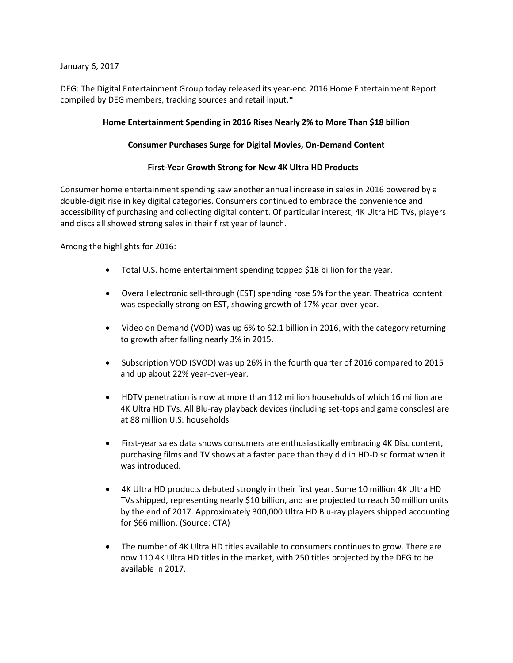January 6, 2017

DEG: The Digital Entertainment Group today released its year-end 2016 Home Entertainment Report compiled by DEG members, tracking sources and retail input.\*

## **Home Entertainment Spending in 2016 Rises Nearly 2% to More Than \$18 billion**

### **Consumer Purchases Surge for Digital Movies, On-Demand Content**

### **First-Year Growth Strong for New 4K Ultra HD Products**

Consumer home entertainment spending saw another annual increase in sales in 2016 powered by a double-digit rise in key digital categories. Consumers continued to embrace the convenience and accessibility of purchasing and collecting digital content. Of particular interest, 4K Ultra HD TVs, players and discs all showed strong sales in their first year of launch.

Among the highlights for 2016:

- Total U.S. home entertainment spending topped \$18 billion for the year.
- Overall electronic sell-through (EST) spending rose 5% for the year. Theatrical content was especially strong on EST, showing growth of 17% year-over-year.
- Video on Demand (VOD) was up 6% to \$2.1 billion in 2016, with the category returning to growth after falling nearly 3% in 2015.
- Subscription VOD (SVOD) was up 26% in the fourth quarter of 2016 compared to 2015 and up about 22% year-over-year.
- HDTV penetration is now at more than 112 million households of which 16 million are 4K Ultra HD TVs. All Blu-ray playback devices (including set-tops and game consoles) are at 88 million U.S. households
- First-year sales data shows consumers are enthusiastically embracing 4K Disc content, purchasing films and TV shows at a faster pace than they did in HD-Disc format when it was introduced.
- 4K Ultra HD products debuted strongly in their first year. Some 10 million 4K Ultra HD TVs shipped, representing nearly \$10 billion, and are projected to reach 30 million units by the end of 2017. Approximately 300,000 Ultra HD Blu-ray players shipped accounting for \$66 million. (Source: CTA)
- The number of 4K Ultra HD titles available to consumers continues to grow. There are now 110 4K Ultra HD titles in the market, with 250 titles projected by the DEG to be available in 2017.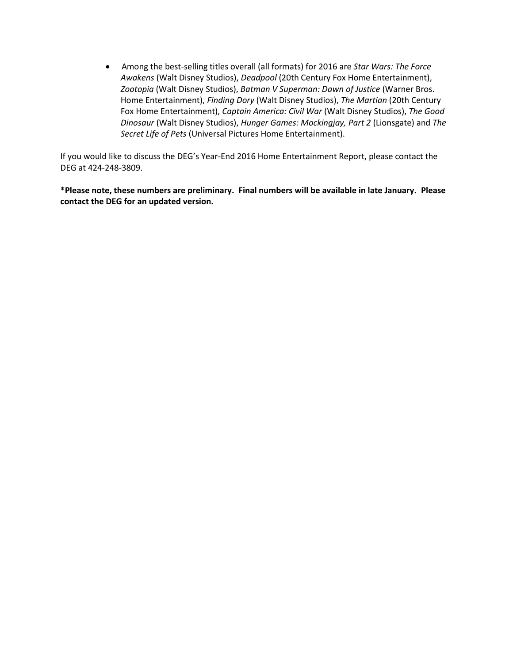• Among the best-selling titles overall (all formats) for 2016 are *Star Wars: The Force Awakens* (Walt Disney Studios), *Deadpool* (20th Century Fox Home Entertainment), *Zootopia* (Walt Disney Studios), *Batman V Superman: Dawn of Justice* (Warner Bros. Home Entertainment), *Finding Dory* (Walt Disney Studios), *The Martian* (20th Century Fox Home Entertainment), *Captain America: Civil War* (Walt Disney Studios), *The Good Dinosaur* (Walt Disney Studios), *Hunger Games: Mockingjay, Part 2* (Lionsgate) and *The Secret Life of Pets* (Universal Pictures Home Entertainment).

If you would like to discuss the DEG's Year-End 2016 Home Entertainment Report, please contact the DEG at 424-248-3809.

**\*Please note, these numbers are preliminary. Final numbers will be available in late January. Please contact the DEG for an updated version.**